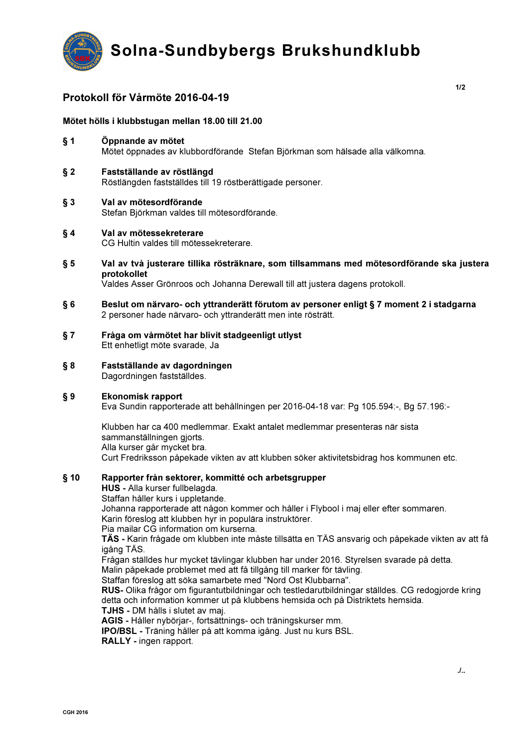

# Protokoll för Vårmöte 2016-04-19

## Mötet hölls i klubbstugan mellan 18.00 till 21.00

- $§ 1$ Öppnande av mötet Mötet öppnades av klubbordförande Stefan Björkman som hälsade alla välkomna.
- $§ 2$ Fastställande av röstlängd Röstlängden fastställdes till 19 röstberättigade personer.
- $§ 3$ Val av mötesordförande Stefan Björkman valdes till mötesordförande.
- $§ 4$ Val av mötessekreterare CG Hultin valdes till mötessekreterare.
- $\S 5$ Val av två justerare tillika rösträknare, som tillsammans med mötesordförande ska justera protokollet

Valdes Asser Grönroos och Johanna Derewall till att justera dagens protokoll.

- Beslut om närvaro- och yttranderätt förutom av personer enligt § 7 moment 2 i stadgarna  $§ 6$ 2 personer hade närvaro- och yttranderätt men inte rösträtt.
- $§ 7$ Fråga om vårmötet har blivit stadgeenligt utlyst Ett enhetligt möte svarade, Ja
- $§ 8$ Fastställande av dagordningen Dagordningen fastställdes.

### $§ 9$ **Ekonomisk rapport**

Eva Sundin rapporterade att behållningen per 2016-04-18 var: Pq 105.594:-, Bq 57.196:-

Klubben har ca 400 medlemmar. Exakt antalet medlemmar presenteras när sista sammanställningen gjorts. Alla kurser går mycket bra. Curt Fredriksson påpekade vikten av att klubben söker aktivitetsbidrag hos kommunen etc.

### $§$  10 Rapporter från sektorer, kommitté och arbetsgrupper

HUS - Alla kurser fullbelagda.

Staffan håller kurs i uppletande.

Johanna rapporterade att någon kommer och håller i Flybool i maj eller efter sommaren.

Karin föreslog att klubben hyr in populära instruktörer.

Pia mailar CG information om kurserna.

TÄS - Karin frågade om klubben inte måste tillsätta en TÄS ansvarig och påpekade vikten av att få igång TÄS.

Frågan ställdes hur mycket tävlingar klubben har under 2016. Styrelsen svarade på detta.

Malin påpekade problemet med att få tillgång till marker för tävling.

Staffan föreslog att söka samarbete med "Nord Ost Klubbarna".

RUS- Olika frågor om figurantutbildningar och testledarutbildningar ställdes. CG redogjorde kring detta och information kommer ut på klubbens hemsida och på Distriktets hemsida.

TJHS - DM hålls i slutet av maj.

AGIS - Håller nybörjar-, fortsättnings- och träningskurser mm.

IPO/BSL - Träning håller på att komma igång. Just nu kurs BSL.

RALLY - ingen rapport.